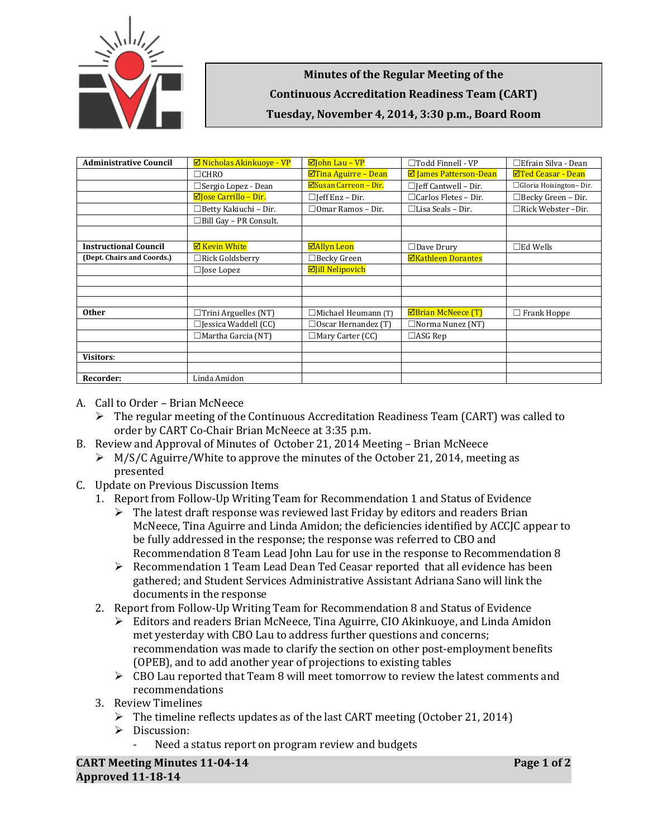

**Minutes of the Regular Meeting of the Continuous Accreditation Readiness Team (CART) Tuesday, November 4, 2014, 3:30 p.m., Board Room**

| <b>Administrative Council</b> | $\boxtimes$ Nicholas Akinkuove - VP | $\boxdot$ John Lau – VP    | $\Box$ Todd Finnell - VP      | □Efrain Silva - Dean      |
|-------------------------------|-------------------------------------|----------------------------|-------------------------------|---------------------------|
|                               | $\Box$ CHRO                         | $\Box$ Tina Aguirre – Dean | <b>Ø</b> James Patterson-Dean | <b>ØTed Ceasar - Dean</b> |
|                               | □ Sergio Lopez - Dean               | ⊠Susan Carreon – Dir.      | $\Box$ [eff Cantwell - Dir.   | □ Gloria Hoisington-Dir.  |
|                               | $\boxdot$ Jose Carrillo – Dir.      | $\Box$ Jeff Enz – Dir.     | $\Box$ Carlos Fletes - Dir.   | □Becky Green – Dir.       |
|                               | $\Box$ Betty Kakiuchi - Dir.        | $\Box$ Omar Ramos – Dir.   | $\Box$ Lisa Seals – Dir.      | $\Box$ Rick Webster -Dir. |
|                               | $\Box$ Bill Gay - PR Consult.       |                            |                               |                           |
|                               |                                     |                            |                               |                           |
| <b>Instructional Council</b>  | <b>⊠ Kevin White</b>                | ⊠Allyn Leon                | $\Box$ Dave Drury             | $\square$ Ed Wells        |
| (Dept. Chairs and Coords.)    | $\Box$ Rick Goldsberry              | $\Box$ Becky Green         | <b>ØKathleen Dorantes</b>     |                           |
|                               | $\Box$ Jose Lopez                   | <b>Ø</b> Jill Nelipovich   |                               |                           |
|                               |                                     |                            |                               |                           |
|                               |                                     |                            |                               |                           |
|                               |                                     |                            |                               |                           |
| <b>Other</b>                  | $\Box$ Trini Arguelles (NT)         | $\Box$ Michael Heumann (T) | $\boxtimes$ Brian McNeece (T) | $\Box$ Frank Hoppe        |
|                               | $\Box$ Jessica Waddell (CC)         | $\Box$ Oscar Hernandez (T) | □Norma Nunez (NT)             |                           |
|                               | $\Box$ Martha Garcia (NT)           | $\Box$ Mary Carter (CC)    | $\Box$ ASG Rep                |                           |
|                               |                                     |                            |                               |                           |
| <b>Visitors:</b>              |                                     |                            |                               |                           |
|                               |                                     |                            |                               |                           |
| Recorder:                     | Linda Amidon                        |                            |                               |                           |

- A. Call to Order Brian McNeece
	- $\triangleright$  The regular meeting of the Continuous Accreditation Readiness Team (CART) was called to order by CART Co-Chair Brian McNeece at 3:35 p.m.
- B. Review and Approval of Minutes of October 21, 2014 Meeting Brian McNeece
	- $\triangleright$  M/S/C Aguirre/White to approve the minutes of the October 21, 2014, meeting as presented
- C. Update on Previous Discussion Items
	- 1. Report from Follow-Up Writing Team for Recommendation 1 and Status of Evidence
		- $\triangleright$  The latest draft response was reviewed last Friday by editors and readers Brian McNeece, Tina Aguirre and Linda Amidon; the deficiencies identified by ACCJC appear to be fully addressed in the response; the response was referred to CBO and Recommendation 8 Team Lead John Lau for use in the response to Recommendation 8
		- $\triangleright$  Recommendation 1 Team Lead Dean Ted Ceasar reported that all evidence has been gathered; and Student Services Administrative Assistant Adriana Sano will link the documents in the response
	- 2. Report from Follow-Up Writing Team for Recommendation 8 and Status of Evidence
		- Editors and readers Brian McNeece, Tina Aguirre, CIO Akinkuoye, and Linda Amidon met yesterday with CBO Lau to address further questions and concerns; recommendation was made to clarify the section on other post-employment benefits (OPEB), and to add another year of projections to existing tables
		- $\triangleright$  CBO Lau reported that Team 8 will meet tomorrow to review the latest comments and recommendations
	- 3. Review Timelines
		- $\triangleright$  The timeline reflects updates as of the last CART meeting (October 21, 2014)
		- Discussion:
			- Need a status report on program review and budgets